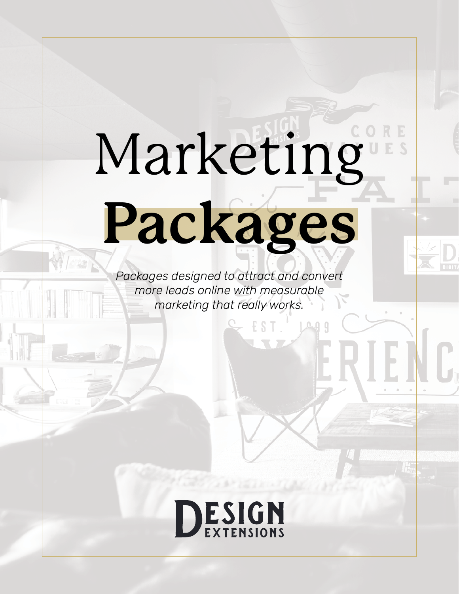# Marketing **Packages**

*Packages designed to attract and convert more leads online with measurable marketing that really works.*

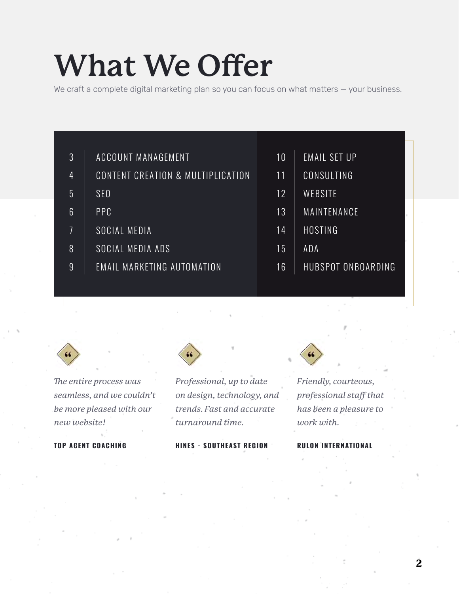#### **What We Offer**

We craft a complete digital marketing plan so you can focus on what matters - your business.

| 3               | ACCOUNT MANAGEMENT                | 10 | EMAIL SET UP         |
|-----------------|-----------------------------------|----|----------------------|
| $\overline{4}$  | CONTENT CREATION & MULTIPLICATION | 11 | CONSULTING           |
| $\overline{5}$  | SEO                               | 12 | WEBSITE              |
| $6\overline{6}$ | <b>PPC</b>                        | 13 | MAINTENANCE          |
| 7               | SOCIAL MEDIA                      | 14 | HOSTING <sup>1</sup> |
| 8               | SOCIAL MEDIA ADS                  | 15 | ADA                  |
| 9               | <b>EMAIL MARKETING AUTOMATION</b> | 16 | HUBSPOT ONBOARDING   |
|                 |                                   |    |                      |



*The entire process was seamless, and we couldn't be more pleased with our new website!*

#### **TOP AGENT COACHING**



*Professional, up to date on design, technology, and trends. Fast and accurate turnaround time.*

**HINES - SOUTHEAST REGION**



*Friendly, courteous, professional staff that has been a pleasure to work with.*

#### **RULON INTERNATIONAL**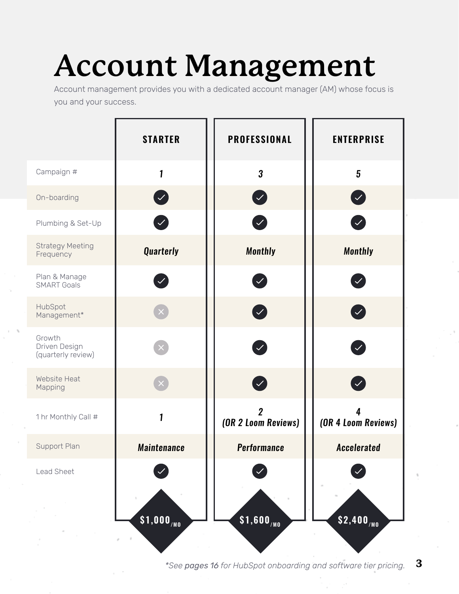#### **Account Management**

Account management provides you with a dedicated account manager (AM) whose focus is you and your success.

|                                               | <b>STARTER</b>         | <b>PROFESSIONAL</b>                   | <b>ENTERPRISE</b>            |
|-----------------------------------------------|------------------------|---------------------------------------|------------------------------|
| Campaign #                                    | 1                      | $\overline{3}$                        | $\overline{5}$               |
| On-boarding                                   | $\bullet$              | $\boldsymbol{\mathcal{C}}$            | $\bullet$                    |
| Plumbing & Set-Up                             | $\mathcal{L}$          | $\left  \mathcal{S} \right $          | $\blacktriangledown$         |
| <b>Strategy Meeting</b><br>Frequency          | <b>Quarterly</b>       | <b>Monthly</b>                        | <b>Monthly</b>               |
| Plan & Manage<br><b>SMART Goals</b>           | $\bigvee$              | $\mathcal{L}$                         | $\left  \mathcal{S} \right $ |
| HubSpot<br>Management*                        |                        | $\boldsymbol{\mathcal{L}}$            | $\blacktriangledown$         |
| Growth<br>Driven Design<br>(quarterly review) |                        | $\bigvee$                             | $\bullet$                    |
| Website Heat<br>Mapping                       |                        | Ø                                     | Ø                            |
| 1 hr Monthly Call #                           | 1                      | $\overline{2}$<br>(OR 2 Loom Reviews) | (OR 4 Loom Reviews)          |
| Support Plan                                  | <b>Maintenance</b>     | <b>Performance</b>                    | <b>Accelerated</b>           |
| Lead Sheet                                    |                        |                                       |                              |
|                                               | \$1,000 <sub>/MO</sub> | \$1,600 <sub>/MO</sub>                | $$2,400_{/M0}$               |

**3** *\*See pages 16 for HubSpot onboarding and software tier pricing.*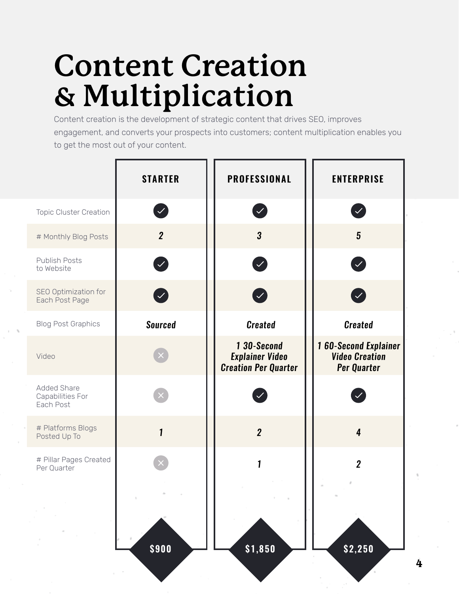#### **Content Creation & Multiplication**

Content creation is the development of strategic content that drives SEO, improves engagement, and converts your prospects into customers; content multiplication enables you to get the most out of your content.

|                                                     | <b>STARTER</b>               | <b>PROFESSIONAL</b>                                                  | <b>ENTERPRISE</b>                                                          |
|-----------------------------------------------------|------------------------------|----------------------------------------------------------------------|----------------------------------------------------------------------------|
| <b>Topic Cluster Creation</b>                       | $\left  \mathcal{S} \right $ | $\mathcal{L}$                                                        | $ \mathcal{S} $                                                            |
| # Monthly Blog Posts                                | $\overline{2}$               | 3                                                                    | $5\phantom{.0}$                                                            |
| <b>Publish Posts</b><br>to Website                  | $\boldsymbol{\mathcal{L}}$   | Z                                                                    | $\bullet$                                                                  |
| SEO Optimization for<br>Each Post Page              | $\bullet$                    | Ø                                                                    | $\blacktriangledown$                                                       |
| <b>Blog Post Graphics</b>                           | <b>Sourced</b>               | <b>Created</b>                                                       | <b>Created</b>                                                             |
| Video                                               |                              | 1 30-Second<br><b>Explainer Video</b><br><b>Creation Per Quarter</b> | <b>160-Second Explainer</b><br><b>Video Creation</b><br><b>Per Quarter</b> |
| <b>Added Share</b><br>Capabilities For<br>Each Post |                              |                                                                      |                                                                            |
| # Platforms Blogs<br>Posted Up To                   | $\mathbf{1}$                 | $\overline{2}$                                                       | $\overline{4}$                                                             |
| # Pillar Pages Created<br>Per Quarter               |                              | 1                                                                    | $\overline{2}$                                                             |
|                                                     | \$900                        | \$1,850                                                              | \$2,250                                                                    |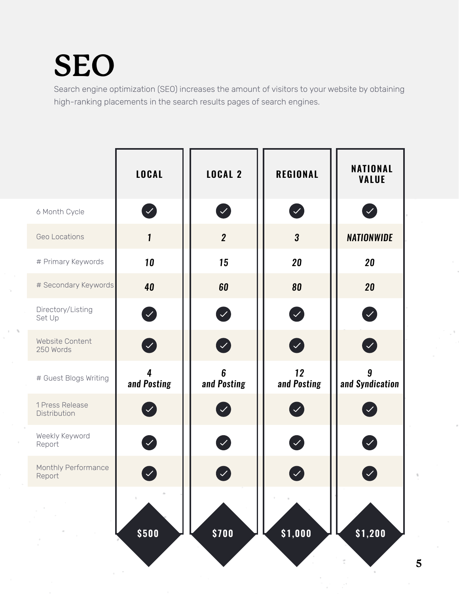#### **SEO**

Search engine optimization (SEO) increases the amount of visitors to your website by obtaining high-ranking placements in the search results pages of search engines.

|                                 | <b>LOCAL</b>                           | <b>LOCAL 2</b>                 | <b>REGIONAL</b>                         | <b>NATIONAL</b><br><b>VALUE</b>         |
|---------------------------------|----------------------------------------|--------------------------------|-----------------------------------------|-----------------------------------------|
| 6 Month Cycle                   | $\blacktriangledown$                   | $\bigvee$                      | $\left\langle \mathcal{S}\right\rangle$ | $\left\langle \mathcal{L}\right\rangle$ |
| Geo Locations                   | $\mathbf{1}$                           | $\overline{2}$                 | $\boldsymbol{3}$                        | <b>NATIONWIDE</b>                       |
| # Primary Keywords              | 10                                     | 15                             | 20                                      | 20                                      |
| # Secondary Keywords            | 40                                     | 60                             | 80                                      | 20                                      |
| Directory/Listing<br>Set Up     | 0                                      | $\bigcirc$                     | Ø                                       | Ø                                       |
| Website Content<br>250 Words    | Ø                                      | $\bullet$                      | Ø                                       | $\bullet$                               |
| # Guest Blogs Writing           | $\overline{\mathbf{4}}$<br>and Posting | $6\phantom{1}6$<br>and Posting | 12<br>and Posting                       | $\boldsymbol{9}$<br>and Syndication     |
| 1 Press Release<br>Distribution | $\mathcal{L}$                          |                                |                                         |                                         |
| Weekly Keyword<br>Report        | $\mathcal{L}_{\mathcal{A}}$            | $\bigvee$                      | $\left\langle \mathcal{S}\right\rangle$ | $\left\vert \mathcal{S}\right\vert$     |
| Monthly Performance<br>Report   | M                                      |                                |                                         |                                         |
|                                 | \$500                                  | \$700                          | \$1,000                                 | \$1,200                                 |
|                                 |                                        |                                |                                         |                                         |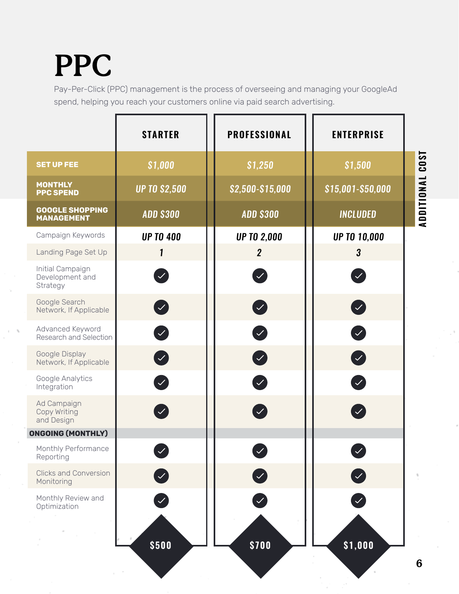#### **PPC**

Pay-Per-Click (PPC) management is the process of overseeing and managing your GoogleAd spend, helping you reach your customers online via paid search advertising.

|                                                 | <b>STARTER</b>       | <b>PROFESSIONAL</b>  | <b>ENTERPRISE</b>         |             |
|-------------------------------------------------|----------------------|----------------------|---------------------------|-------------|
| <b>SET UP FEE</b>                               | \$1,000              | \$1,250              | \$1,500                   | <b>LSO3</b> |
| <b>MONTHLY</b><br><b>PPC SPEND</b>              | <b>UP TO \$2,500</b> | \$2,500-\$15,000     | \$15,001-\$50,000         |             |
| <b>GOOGLE SHOPPING</b><br><b>MANAGEMENT</b>     | <b>ADD \$300</b>     | <b>ADD \$300</b>     | <b>INCLUDED</b>           | ADDITIONAL  |
| Campaign Keywords                               | <b>UP TO 400</b>     | <b>UP TO 2,000</b>   | <b>UP TO 10,000</b>       |             |
| Landing Page Set Up                             | 1                    | $\overline{2}$       | $\boldsymbol{3}$          |             |
| Initial Campaign<br>Development and<br>Strategy |                      | $\mathcal{S}$        | $\bigvee$                 |             |
| Google Search<br>Network, If Applicable         | $\bullet$            | $\bullet$            | $\bullet$                 |             |
| Advanced Keyword<br>Research and Selection      | Ø                    | $\blacktriangledown$ | Ø                         |             |
| Google Display<br>Network, If Applicable        | $\bullet$            | $\bullet$            | $\bullet$                 |             |
| Google Analytics<br>Integration                 | $\blacktriangledown$ | $\mathcal{L}$        | Ø                         |             |
| Ad Campaign<br>Copy Writing<br>and Design       | $\mathcal{A}$        |                      |                           |             |
| <b>ONGOING (MONTHLY)</b>                        |                      |                      |                           |             |
| Monthly Performance<br>Reporting                |                      |                      | $\blacktriangledown$      |             |
| <b>Clicks and Conversion</b><br>Monitoring      |                      |                      | $\left(\checkmark\right)$ |             |
| Monthly Review and<br>Optimization              |                      |                      |                           |             |
|                                                 | \$500                | \$700                | \$1,000                   |             |
|                                                 |                      |                      |                           | 6           |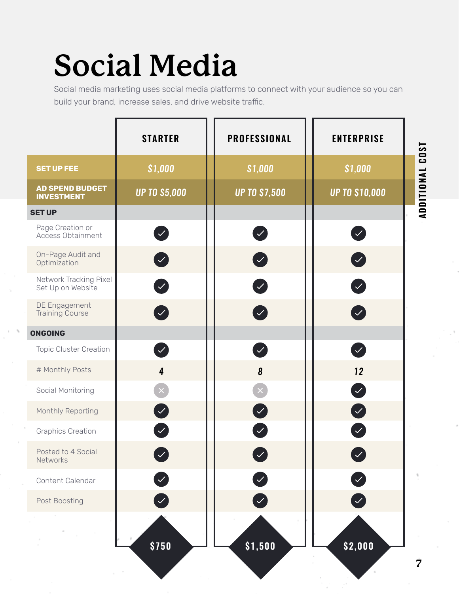#### **Social Media**

Social media marketing uses social media platforms to connect with your audience so you can build your brand, increase sales, and drive website traffic.

|                                             | <b>STARTER</b>                     | <b>PROFESSIONAL</b>   | <b>ENTERPRISE</b>     | <b>LSO3</b>             |
|---------------------------------------------|------------------------------------|-----------------------|-----------------------|-------------------------|
| <b>SET UP FEE</b>                           | \$1,000                            | \$1,000               | \$1,000               |                         |
| <b>AD SPEND BUDGET</b><br><b>INVESTMENT</b> | <b>UP TO \$5,000</b>               | <b>UP TO \$7,500</b>  | <b>UP TO \$10,000</b> | ADDITIONAL              |
| <b>SET UP</b>                               |                                    |                       |                       |                         |
| Page Creation or<br>Access Obtainment       | $\blacktriangledown$               | $\bigvee$             | Ø                     |                         |
| On-Page Audit and<br>Optimization           | $\blacktriangledown$               | $\bullet$             | $\bullet$             |                         |
| Network Tracking Pixel<br>Set Up on Website | $\left  \mathcal{S} \right $       | Z                     | Ø                     |                         |
| DE Engagement<br><b>Training Course</b>     | $\left\vert \mathbf{v}\right\vert$ | $\boldsymbol{\omega}$ | $\bullet$             |                         |
| <b>ONGOING</b>                              |                                    |                       |                       |                         |
| <b>Topic Cluster Creation</b>               | $\mathcal{S}_1$                    | $\mathcal{S}_1$       | $\mathcal{L}$         |                         |
| # Monthly Posts                             | $\overline{4}$                     | $\boldsymbol{8}$      | 12                    |                         |
| Social Monitoring                           |                                    |                       | Ø                     |                         |
| Monthly Reporting                           | $\blacktriangledown$               | Ø                     | $\bullet$             |                         |
| <b>Graphics Creation</b>                    |                                    | $\mathcal{S}$         | $\bigvee$             |                         |
| Posted to 4 Social<br>Networks              | $\checkmark$                       | $\checkmark$          | $\blacktriangledown$  |                         |
| Content Calendar                            |                                    |                       | V                     |                         |
| Post Boosting                               | Ø                                  |                       | Ø                     |                         |
|                                             | \$750                              | \$1,500               | \$2,000               |                         |
|                                             |                                    |                       |                       | $\overline{\mathbf{z}}$ |

ADDITIONAL COST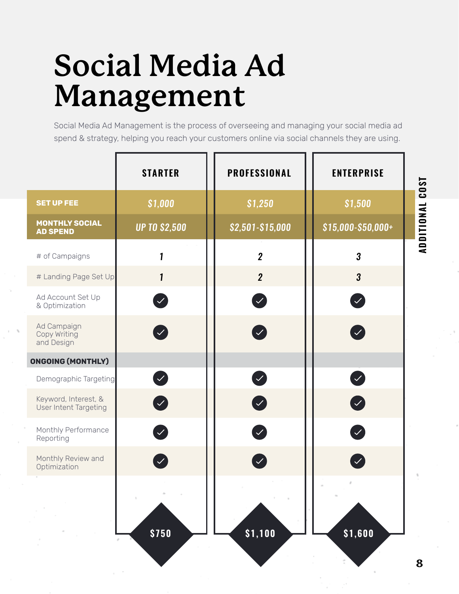#### **Social Media Ad Management**

Social Media Ad Management is the process of overseeing and managing your social media ad spend & strategy, helping you reach your customers online via social channels they are using.

|                                               | <b>STARTER</b>       | <b>PROFESSIONAL</b>                     | <b>ENTERPRISE</b>                       |
|-----------------------------------------------|----------------------|-----------------------------------------|-----------------------------------------|
| <b>SET UP FEE</b>                             | \$1,000              | \$1,250                                 | \$1,500                                 |
| <b>MONTHLY SOCIAL</b><br><b>AD SPEND</b>      | <b>UP TO \$2,500</b> | \$2,501-\$15,000                        | \$15,000-\$50,000+                      |
| # of Campaigns                                | 1                    | $\overline{2}$                          | $\overline{\mathbf{3}}$                 |
| # Landing Page Set Up                         | $\mathbf{1}$         | $\overline{2}$                          | $\boldsymbol{3}$                        |
| Ad Account Set Up<br>& Optimization           | $\mathcal{L}$        | $\checkmark$                            |                                         |
| Ad Campaign<br>Copy Writing<br>and Design     |                      | $\mathcal{S}$                           |                                         |
| <b>ONGOING (MONTHLY)</b>                      |                      |                                         |                                         |
| Demographic Targeting                         | $\checkmark$         | $\left\langle \mathcal{S}\right\rangle$ | $\left\langle \mathcal{S}\right\rangle$ |
| Keyword, Interest, &<br>User Intent Targeting | $\blacktriangledown$ | $\boldsymbol{\mathcal{L}}$              | $\bullet$                               |
| Monthly Performance<br>Reporting              |                      | $\bigvee$                               |                                         |
| Monthly Review and<br>Optimization            |                      | $\sqrt{}$                               |                                         |
|                                               | \$750                | \$1,100                                 | \$1,600                                 |
|                                               |                      |                                         |                                         |

**ADDITIONAL COST** ADDITIONAL COST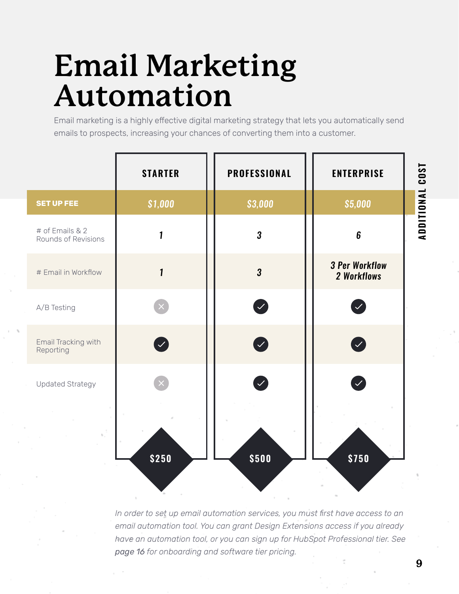#### **Email Marketing Automation**

Email marketing is a highly effective digital marketing strategy that lets you automatically send emails to prospects, increasing your chances of converting them into a customer.

|                   |                     | <b>STARTER</b> | <b>PROFESSIONAL</b> | <b>ENTERPRISE</b>                       | <b>COST</b> |
|-------------------|---------------------|----------------|---------------------|-----------------------------------------|-------------|
| <b>SET UP FEE</b> |                     | \$1,000        | \$3,000             | \$5,000                                 | ADDITIONAL  |
| # of Emails & 2   | Rounds of Revisions | 1              | $\boldsymbol{3}$    | $\boldsymbol{6}$                        |             |
|                   | # Email in Workflow | $\mathbf{1}$   | $\boldsymbol{3}$    | <b>3 Per Workflow</b><br>2 Workflows    |             |
| A/B Testing       |                     |                | V                   | $\left  \mathcal{S} \right $            |             |
| Reporting         | Email Tracking with |                | $\bigcirc$          | $\left\langle \mathcal{L}\right\rangle$ |             |
|                   | Updated Strategy    |                |                     |                                         |             |
|                   |                     | \$250          | \$500               | \$750                                   |             |
|                   |                     |                |                     |                                         |             |

*In order to set up email automation services, you must first have access to an email automation tool. You can grant Design Extensions access if you already have an automation tool, or you can sign up for HubSpot Professional tier. See page 16 for onboarding and software tier pricing.*

**9**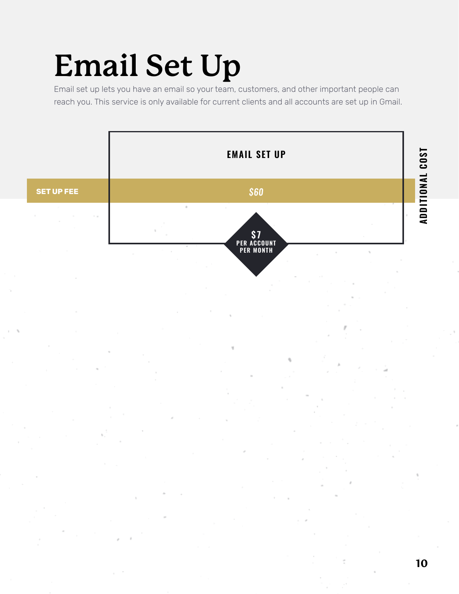#### **Email Set Up**

Email set up lets you have an email so your team, customers, and other important people can reach you. This service is only available for current clients and all accounts are set up in Gmail.

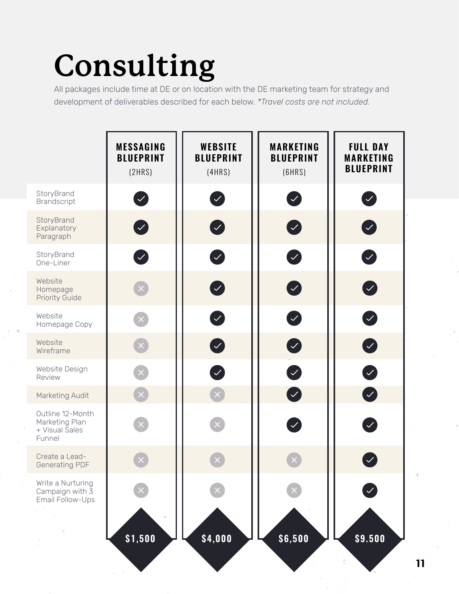### **Consulting**

All packages include time at DE or on location with the DE marketing team for strategy and development of deliverables described for each below. *\*Travel costs are not included.*

|                                                                | <b>MESSAGING</b><br><b>BLUEPRINT</b><br>(2HRS) | <b>WEBSITE</b><br><b>BLUEPRINT</b><br>(4HRS) | <b>MARKETING</b><br><b>BLUEPRINT</b><br>(6HRS) | <b>FULL DAY</b><br><b>MARKETING</b><br><b>BLUEPRINT</b> |
|----------------------------------------------------------------|------------------------------------------------|----------------------------------------------|------------------------------------------------|---------------------------------------------------------|
| StoryBrand<br><b>Brandscript</b>                               | Ø                                              | Ø                                            | $\bullet$                                      | Ø                                                       |
| StoryBrand<br>Explanatory<br>Paragraph                         | 0                                              | $\bullet$                                    | $\bullet$                                      | $\bullet$                                               |
| StoryBrand<br>One-Liner                                        | Ø                                              | $\bullet$                                    | Ø                                              | Ø                                                       |
| Website<br>Homepage<br><b>Priority Guide</b>                   | $\mathsf{X}$                                   | $\bullet$                                    | $\bullet$                                      | $\bullet$                                               |
| Website<br>Homepage Copy                                       | $\mathbf{X}$                                   | $\bullet$                                    | Ø                                              | Ø                                                       |
| Website<br>Wireframe                                           | $\times$                                       | $\bullet$                                    | $\bullet$                                      | $\bullet$                                               |
| Website Design<br>Review                                       | $\mathbf{X}$                                   | Ø                                            | Ø                                              | Ø                                                       |
| Marketing Audit                                                | $\left[\times\right]$                          | $\mathbf{x}$                                 | $\bullet$                                      | $\bullet$                                               |
| Outline 12-Month<br>Marketing Plan<br>+ Visual Sales<br>Funnel | $\times$                                       |                                              | Ø                                              | $\bigvee$                                               |
| Create a Lead-<br><b>Generating PDF</b>                        |                                                |                                              |                                                | $\checkmark$                                            |
| Write a Nurturing<br>Campaign with 3<br>Email Follow-Ups       |                                                |                                              |                                                |                                                         |
|                                                                | \$1,500                                        | \$4,000                                      | \$6,500                                        | \$9.500                                                 |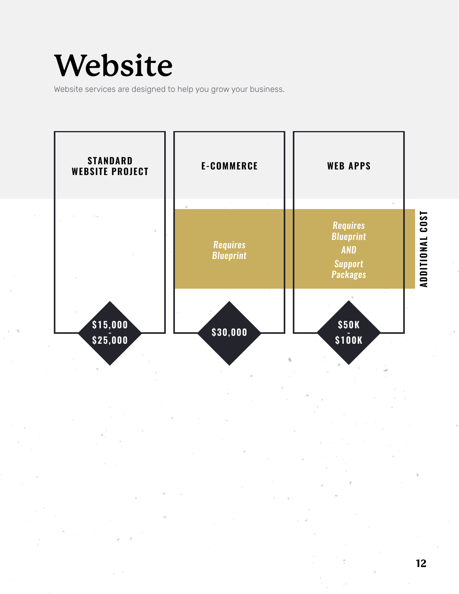#### **Website**

Website services are designed to help you grow your business.

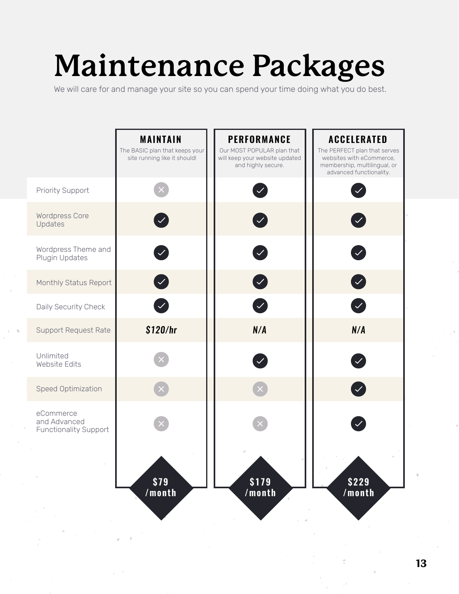### **Maintenance Packages**

We will care for and manage your site so you can spend your time doing what you do best.

|                                                           | <b>MAINTAIN</b><br>The BASIC plan that keeps your<br>site running like it should! | <b>PERFORMANCE</b><br>Our MOST POPULAR plan that<br>will keep your website updated<br>and highly secure. | <b>ACCELERATED</b><br>The PERFECT plan that serves<br>websites with eCommerce,<br>membership, multilingual, or<br>advanced functionality. |
|-----------------------------------------------------------|-----------------------------------------------------------------------------------|----------------------------------------------------------------------------------------------------------|-------------------------------------------------------------------------------------------------------------------------------------------|
| <b>Priority Support</b>                                   |                                                                                   | $\checkmark$                                                                                             |                                                                                                                                           |
| <b>Wordpress Core</b><br>Updates                          | $\checkmark$                                                                      |                                                                                                          |                                                                                                                                           |
| Wordpress Theme and<br>Plugin Updates                     | $\mathcal{S}$                                                                     | $\sqrt{}$                                                                                                | $\mathcal{L}$                                                                                                                             |
| Monthly Status Report                                     | $\left\langle \mathcal{S}\right\rangle$                                           | $\boldsymbol{\mathcal{L}}$                                                                               | $\blacktriangledown$                                                                                                                      |
| Daily Security Check                                      | $\mathcal{L}$                                                                     | $\bigvee$                                                                                                | $\left\langle \mathcal{S}\right\rangle$                                                                                                   |
| <b>Support Request Rate</b>                               | \$120/hr                                                                          | N/A                                                                                                      | N/A                                                                                                                                       |
| Unlimited<br>Website Edits                                |                                                                                   |                                                                                                          |                                                                                                                                           |
| Speed Optimization                                        |                                                                                   |                                                                                                          | $\checkmark$                                                                                                                              |
| eCommerce<br>and Advanced<br><b>Functionality Support</b> |                                                                                   |                                                                                                          |                                                                                                                                           |
|                                                           | \$79                                                                              | \$179                                                                                                    | \$229                                                                                                                                     |
|                                                           | /month                                                                            | /month                                                                                                   | /month                                                                                                                                    |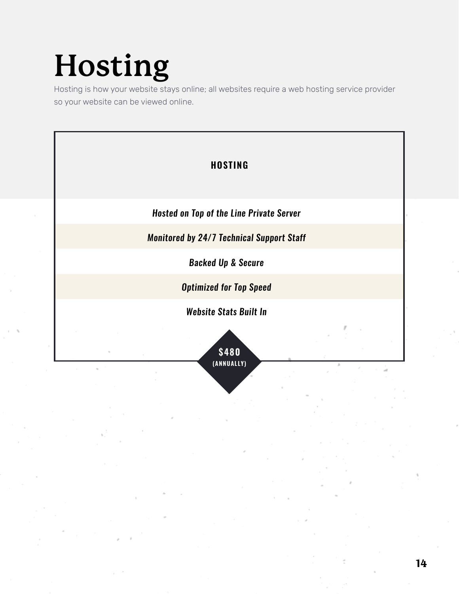### **Hosting**

Hosting is how your website stays online; all websites require a web hosting service provider so your website can be viewed online.

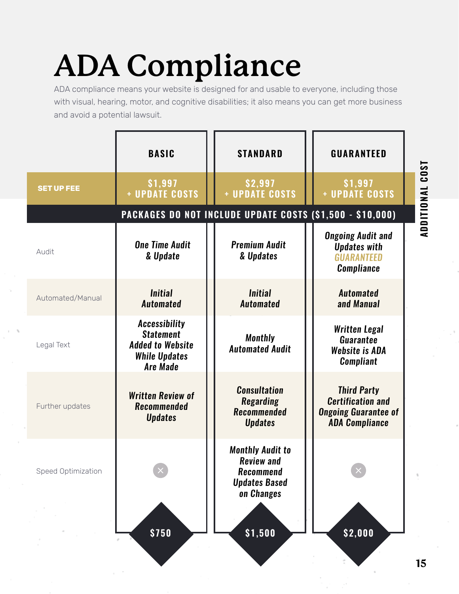## ADDITIONAL COST **ADDITIONAL COST**

### **ADA Compliance**

ADA compliance means your website is designed for and usable to everyone, including those with visual, hearing, motor, and cognitive disabilities; it also means you can get more business and avoid a potential lawsuit.

|                    | <b>BASIC</b>                                                                                                   | <b>STANDARD</b>                                                                                        | <b>GUARANTEED</b>                                                                                      |
|--------------------|----------------------------------------------------------------------------------------------------------------|--------------------------------------------------------------------------------------------------------|--------------------------------------------------------------------------------------------------------|
| <b>SET UP FEE</b>  | \$1,997<br>+ UPDATE COSTS                                                                                      | \$2,997<br>+ UPDATE COSTS                                                                              | \$1,997<br>+ UPDATE COSTS                                                                              |
|                    |                                                                                                                | PACKAGES DO NOT INCLUDE UPDATE COSTS (\$1,500 - \$10,000)                                              |                                                                                                        |
| Audit              | <b>One Time Audit</b><br>& Update                                                                              | <b>Premium Audit</b><br>& Updates                                                                      | <b>Ongoing Audit and</b><br><b>Updates with</b><br><b>GUARANTEED</b><br><b>Compliance</b>              |
| Automated/Manual   | <b>Initial</b><br><b>Automated</b>                                                                             | <b>Initial</b><br><b>Automated</b>                                                                     | <b>Automated</b><br>and Manual                                                                         |
| Legal Text         | <b>Accessibility</b><br><b>Statement</b><br><b>Added to Website</b><br><b>While Updates</b><br><b>Are Made</b> | <b>Monthly</b><br><b>Automated Audit</b>                                                               | <b>Written Legal</b><br><b>Guarantee</b><br>Website is ADA<br><b>Compliant</b>                         |
| Further updates    | <b>Written Review of</b><br><b>Recommended</b><br><b>Updates</b>                                               | <b>Consultation</b><br><b>Regarding</b><br><b>Recommended</b><br><b>Updates</b>                        | <b>Third Party</b><br><b>Certification and</b><br><b>Ongoing Guarantee of</b><br><b>ADA Compliance</b> |
| Speed Optimization |                                                                                                                | <b>Monthly Audit to</b><br><b>Review and</b><br><b>Recommend</b><br><b>Updates Based</b><br>on Changes |                                                                                                        |
|                    | \$750                                                                                                          | \$1,500                                                                                                | \$2,000                                                                                                |